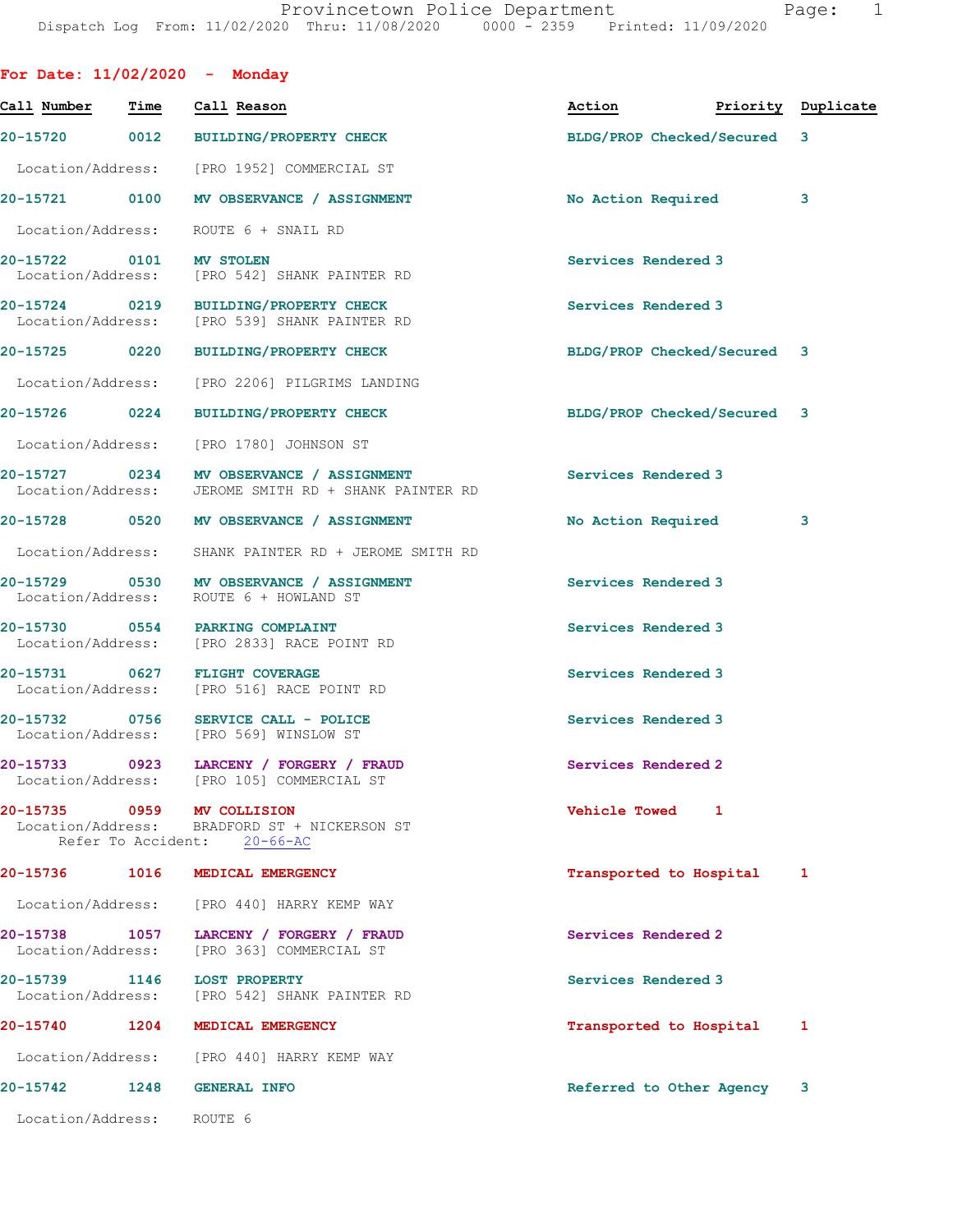For Date: 11/02/2020 - Monday

| Call Number               | Time | Call Reason                                                                                               | Action                      | Priority Duplicate |   |
|---------------------------|------|-----------------------------------------------------------------------------------------------------------|-----------------------------|--------------------|---|
| 20-15720 0012             |      | BUILDING/PROPERTY CHECK                                                                                   | BLDG/PROP Checked/Secured 3 |                    |   |
|                           |      | Location/Address: [PRO 1952] COMMERCIAL ST                                                                |                             |                    |   |
|                           |      | 20-15721 0100 MV OBSERVANCE / ASSIGNMENT                                                                  | No Action Required          |                    | 3 |
|                           |      | Location/Address: ROUTE 6 + SNAIL RD                                                                      |                             |                    |   |
| 20-15722 0101 MV STOLEN   |      | Location/Address: [PRO 542] SHANK PAINTER RD                                                              | Services Rendered 3         |                    |   |
|                           |      | 20-15724 0219 BUILDING/PROPERTY CHECK<br>Location/Address: [PRO 539] SHANK PAINTER RD                     | Services Rendered 3         |                    |   |
|                           |      | 20-15725 0220 BUILDING/PROPERTY CHECK                                                                     | BLDG/PROP Checked/Secured 3 |                    |   |
|                           |      | Location/Address: [PRO 2206] PILGRIMS LANDING                                                             |                             |                    |   |
| 20-15726 0224             |      | <b>BUILDING/PROPERTY CHECK</b>                                                                            | BLDG/PROP Checked/Secured 3 |                    |   |
|                           |      | Location/Address: [PRO 1780] JOHNSON ST                                                                   |                             |                    |   |
|                           |      | 20-15727 0234 MV OBSERVANCE / ASSIGNMENT<br>Location/Address: JEROME SMITH RD + SHANK PAINTER RD          | Services Rendered 3         |                    |   |
|                           |      | 20-15728 0520 MV OBSERVANCE / ASSIGNMENT                                                                  | No Action Required          |                    | 3 |
| Location/Address:         |      | SHANK PAINTER RD + JEROME SMITH RD                                                                        |                             |                    |   |
|                           |      | 20-15729 0530 MV OBSERVANCE / ASSIGNMENT<br>Location/Address: ROUTE 6 + HOWLAND ST                        | Services Rendered 3         |                    |   |
|                           |      | 20-15730 0554 PARKING COMPLAINT<br>Location/Address: [PRO 2833] RACE POINT RD                             | Services Rendered 3         |                    |   |
|                           |      | 20-15731 0627 FLIGHT COVERAGE<br>Location/Address: [PRO 516] RACE POINT RD                                | Services Rendered 3         |                    |   |
|                           |      | 20-15732 0756 SERVICE CALL - POLICE<br>Location/Address: [PRO 569] WINSLOW ST                             | Services Rendered 3         |                    |   |
|                           |      | 20-15733 0923 LARCENY / FORGERY / FRAUD<br>Location/Address: [PRO 105] COMMERCIAL ST                      | Services Rendered 2         |                    |   |
|                           |      | 20-15735 0959 MV COLLISION<br>Location/Address: BRADFORD ST + NICKERSON ST<br>Refer To Accident: 20-66-AC | Vehicle Towed 1             |                    |   |
| 20-15736 1016             |      | MEDICAL EMERGENCY                                                                                         | Transported to Hospital     |                    | 1 |
|                           |      | Location/Address: [PRO 440] HARRY KEMP WAY                                                                |                             |                    |   |
|                           |      | 20-15738 1057 LARCENY / FORGERY / FRAUD<br>Location/Address: [PRO 363] COMMERCIAL ST                      | Services Rendered 2         |                    |   |
|                           |      | 20-15739 1146 LOST PROPERTY<br>Location/Address: [PRO 542] SHANK PAINTER RD                               | Services Rendered 3         |                    |   |
| 20-15740 1204             |      | MEDICAL EMERGENCY                                                                                         | Transported to Hospital     |                    | 1 |
|                           |      | Location/Address: [PRO 440] HARRY KEMP WAY                                                                |                             |                    |   |
| 20-15742 1248             |      | <b>GENERAL INFO</b>                                                                                       | Referred to Other Agency 3  |                    |   |
| Location/Address: ROUTE 6 |      |                                                                                                           |                             |                    |   |
|                           |      |                                                                                                           |                             |                    |   |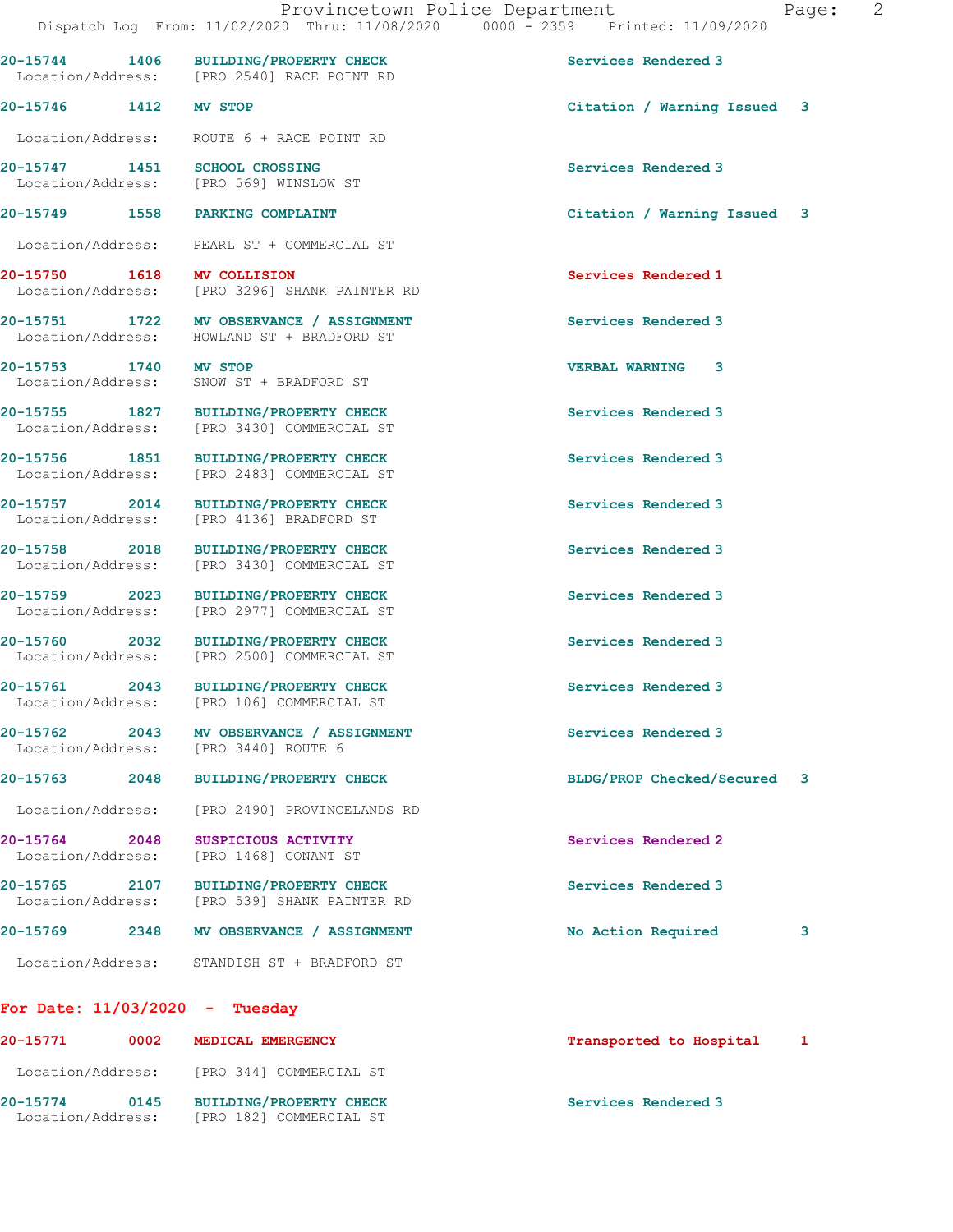20-15744 1406 BUILDING/PROPERTY CHECK Services Rendered 3

Location/Address: [PRO 2540] RACE POINT RD

Location/Address: ROUTE 6 + RACE POINT RD

| ıqe |  |  |
|-----|--|--|
|     |  |  |

 Location/Address: [PRO 569] WINSLOW ST 20-15749 1558 PARKING COMPLAINT Citation / Warning Issued 3 Location/Address: PEARL ST + COMMERCIAL ST 20-15750 1618 MV COLLISION Services Rendered 1 Location/Address: [PRO 3296] SHANK PAINTER RD 20-15751 1722 MV OBSERVANCE / ASSIGNMENT Services Rendered 3 Location/Address: HOWLAND ST + BRADFORD ST 20-15753 1740 MV STOP VERBAL WARNING 3 Location/Address: SNOW ST + BRADFORD ST 20-15755 1827 BUILDING/PROPERTY CHECK Services Rendered 3 Location/Address: [PRO 3430] COMMERCIAL ST 20-15756 1851 BUILDING/PROPERTY CHECK Services Rendered 3 Location/Address: [PRO 2483] COMMERCIAL ST 20-15757 2014 BUILDING/PROPERTY CHECK Services Rendered 3 Location/Address: [PRO 4136] BRADFORD ST 20-15758 2018 BUILDING/PROPERTY CHECK Services Rendered 3 Location/Address: [PRO 3430] COMMERCIAL ST 20-15759 2023 BUILDING/PROPERTY CHECK Services Rendered 3 Location/Address: [PRO 2977] COMMERCIAL ST 20-15760 2032 BUILDING/PROPERTY CHECK Services Rendered 3<br>
Location/Address: [PRO 2500] COMMERCIAL ST [PRO 2500] COMMERCIAL ST

20-15761 2043 BUILDING/PROPERTY CHECK Services Rendered 3 Location/Address: [PRO 106] COMMERCIAL ST

20-15762 2043 MV OBSERVANCE / ASSIGNMENT Services Rendered 3 Location/Address: [PRO 3440] ROUTE 6

20-15763 2048 BUILDING/PROPERTY CHECK BLDG/PROP Checked/Secured 3

Location/Address: [PRO 2490] PROVINCELANDS RD

20-15764 2048 SUSPICIOUS ACTIVITY Services Rendered 2 Location/Address: [PRO 1468] CONANT ST

20-15765 2107 BUILDING/PROPERTY CHECK Services Rendered 3 Location/Address: [PRO 539] SHANK PAINTER RD

# 20-15769 2348 MV OBSERVANCE / ASSIGNMENT No Action Required 3

Location/Address: STANDISH ST + BRADFORD ST

## For Date: 11/03/2020 - Tuesday

| 20-15771                      | 0002 | MEDICAL EMERGENCY                                         | Transported to Hospital |  |
|-------------------------------|------|-----------------------------------------------------------|-------------------------|--|
| Location/Address:             |      | [PRO 344] COMMERCIAL ST                                   |                         |  |
| 20-15774<br>Location/Address: | 0145 | <b>BUILDING/PROPERTY CHECK</b><br>[PRO 182] COMMERCIAL ST | Services Rendered 3     |  |

20-15747 1451 SCHOOL CROSSING Services Rendered 3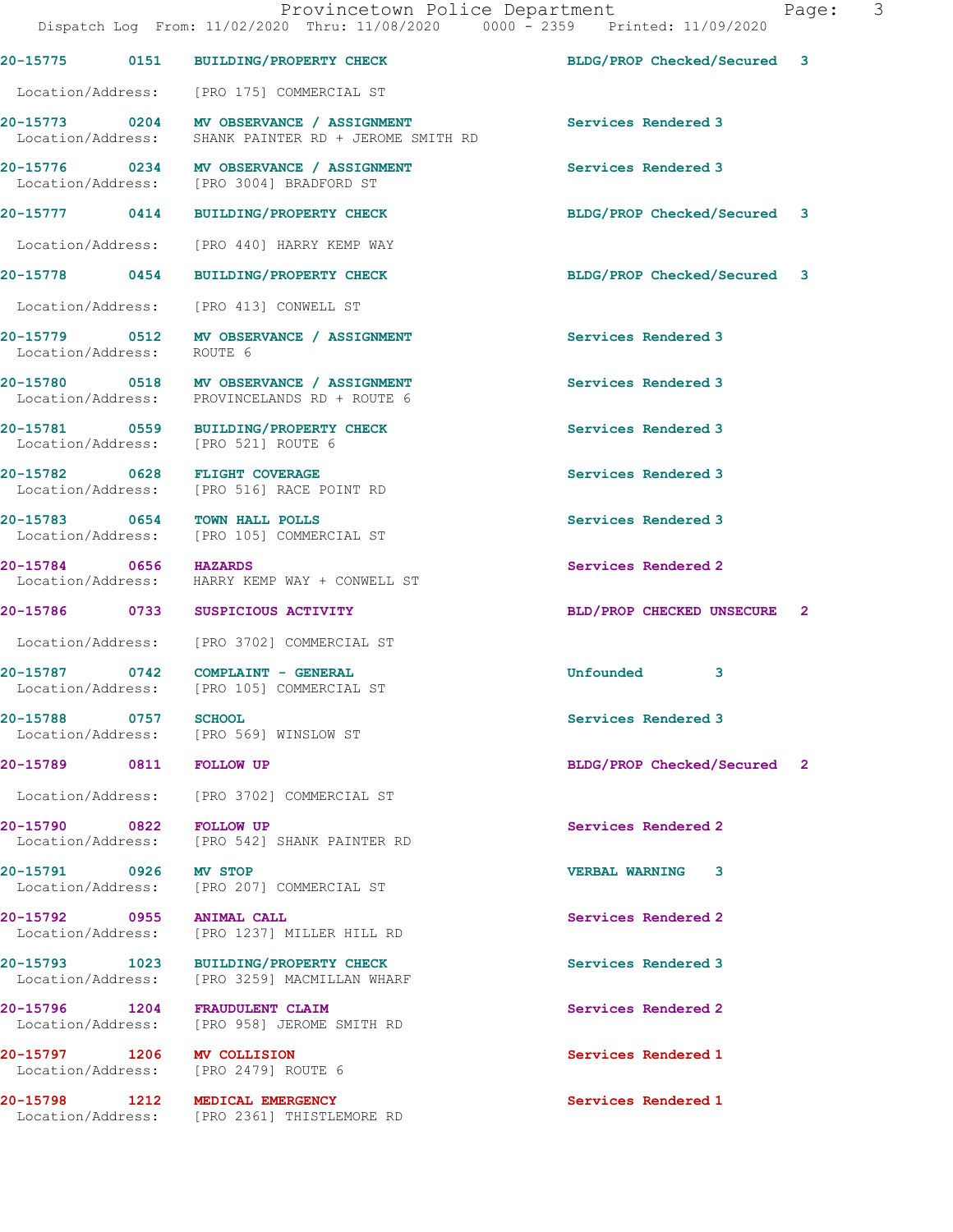|                         |      | Provincetown Police Department<br>Dispatch Log From: 11/02/2020 Thru: 11/08/2020 0000 - 2359 Printed: 11/09/2020 |                             | Pac |
|-------------------------|------|------------------------------------------------------------------------------------------------------------------|-----------------------------|-----|
|                         |      | 20-15775 0151 BUILDING/PROPERTY CHECK                                                                            | BLDG/PROP Checked/Secured 3 |     |
|                         |      | Location/Address: [PRO 175] COMMERCIAL ST                                                                        |                             |     |
|                         |      | 20-15773 0204 MV OBSERVANCE / ASSIGNMENT<br>Location/Address: SHANK PAINTER RD + JEROME SMITH RD                 | Services Rendered 3         |     |
|                         |      | 20-15776 0234 MV OBSERVANCE / ASSIGNMENT<br>Location/Address: [PRO 3004] BRADFORD ST                             | Services Rendered 3         |     |
|                         |      | 20-15777 0414 BUILDING/PROPERTY CHECK                                                                            | BLDG/PROP Checked/Secured 3 |     |
|                         |      | Location/Address: [PRO 440] HARRY KEMP WAY                                                                       |                             |     |
|                         |      | 20-15778 0454 BUILDING/PROPERTY CHECK                                                                            | BLDG/PROP Checked/Secured 3 |     |
|                         |      | Location/Address: [PRO 413] CONWELL ST                                                                           |                             |     |
|                         |      | 20-15779   0512   MV OBSERVANCE / ASSIGNMENT<br>Location/Address:   ROUTE 6                                      | Services Rendered 3         |     |
|                         |      | 20-15780 0518 MV OBSERVANCE / ASSIGNMENT<br>Location/Address: PROVINCELANDS RD + ROUTE 6                         | Services Rendered 3         |     |
|                         |      | 20-15781 0559 BUILDING/PROPERTY CHECK<br>Location/Address: [PRO 521] ROUTE 6                                     | Services Rendered 3         |     |
|                         |      | 20-15782 0628 FLIGHT COVERAGE<br>Location/Address: [PRO 516] RACE POINT RD                                       | Services Rendered 3         |     |
|                         |      | 20-15783 0654 TOWN HALL POLLS<br>Location/Address: [PRO 105] COMMERCIAL ST                                       | Services Rendered 3         |     |
| 20-15784 0656 HAZARDS   |      | Location/Address: HARRY KEMP WAY + CONWELL ST                                                                    | Services Rendered 2         |     |
|                         |      | 20-15786 0733 SUSPICIOUS ACTIVITY                                                                                | BLD/PROP CHECKED UNSECURE 2 |     |
|                         |      | Location/Address: [PRO 3702] COMMERCIAL ST                                                                       |                             |     |
| 20-15787                | 0742 | COMPLAINT - GENERAL<br>Location/Address: [PRO 105] COMMERCIAL ST                                                 | Unfounded<br>3              |     |
|                         |      | 20-15788 0757 SCHOOL<br>Location/Address: [PRO 569] WINSLOW ST                                                   | Services Rendered 3         |     |
| 20-15789 0811 FOLLOW UP |      |                                                                                                                  | BLDG/PROP Checked/Secured 2 |     |
|                         |      | Location/Address: [PRO 3702] COMMERCIAL ST                                                                       |                             |     |
|                         |      | 20-15790 0822 FOLLOW UP<br>Location/Address: [PRO 542] SHANK PAINTER RD                                          | Services Rendered 2         |     |
| 20-15791 0926 MV STOP   |      | Location/Address: [PRO 207] COMMERCIAL ST                                                                        | <b>VERBAL WARNING</b><br>3  |     |
|                         |      | 20-15792 0955 ANIMAL CALL<br>Location/Address: [PRO 1237] MILLER HILL RD                                         | Services Rendered 2         |     |
|                         |      | 20-15793 1023 BUILDING/PROPERTY CHECK<br>Location/Address: [PRO 3259] MACMILLAN WHARF                            | Services Rendered 3         |     |
| 20-15796 1204           |      | FRAUDULENT CLAIM<br>Location/Address: [PRO 958] JEROME SMITH RD                                                  | Services Rendered 2         |     |
|                         |      | 20-15797 1206 MV COLLISION<br>Location/Address: [PRO 2479] ROUTE 6                                               | Services Rendered 1         |     |
|                         |      | 20-15798 1212 MEDICAL EMERGENCY                                                                                  | Services Rendered 1         |     |

Location/Address: [PRO 2361] THISTLEMORE RD

age: 3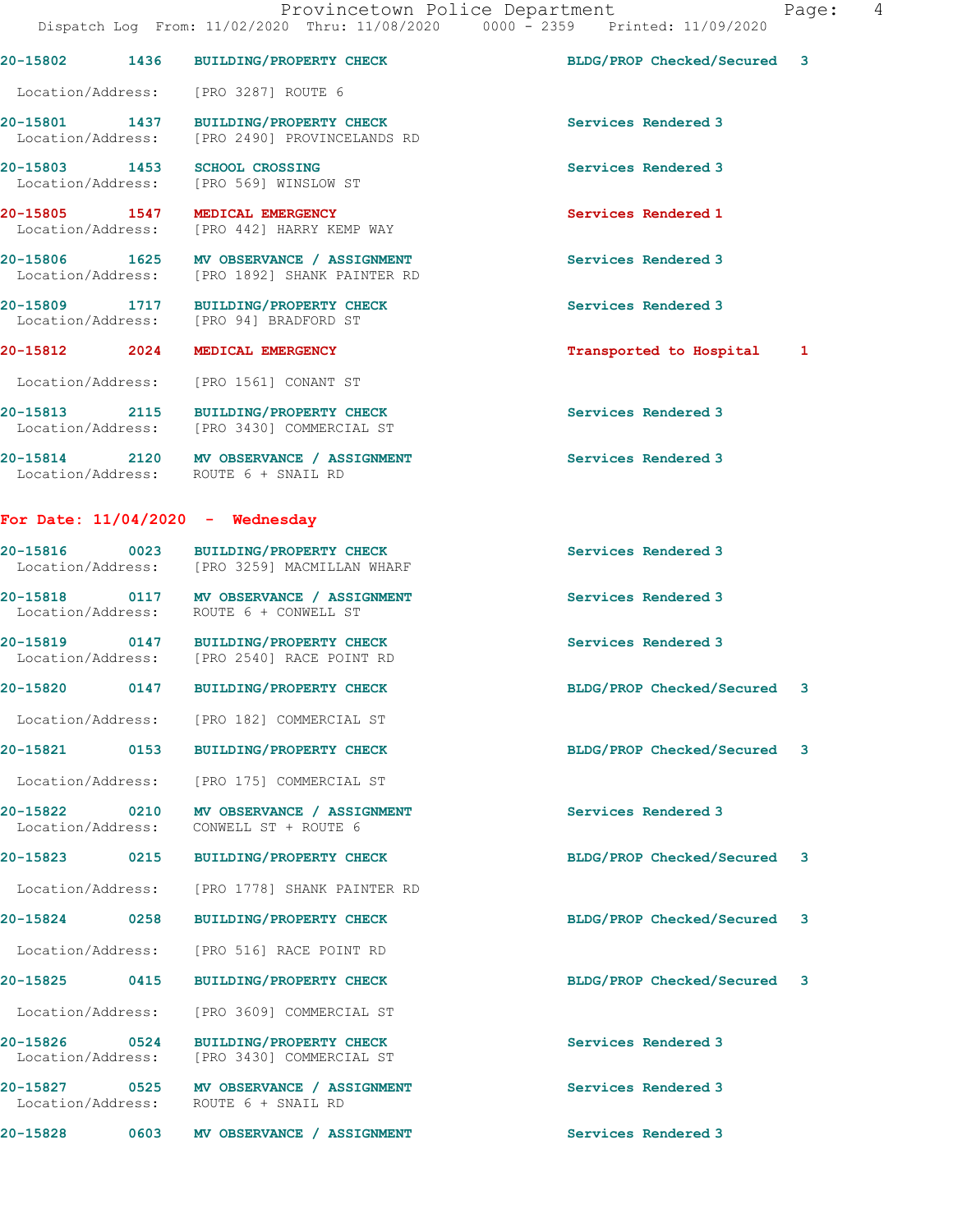|                                    |      | 20-15802 1436 BUILDING/PROPERTY CHECK                                                     | BLDG/PROP Checked/Secured 3 |              |
|------------------------------------|------|-------------------------------------------------------------------------------------------|-----------------------------|--------------|
|                                    |      | Location/Address: [PRO 3287] ROUTE 6                                                      |                             |              |
|                                    |      | 20-15801 1437 BUILDING/PROPERTY CHECK<br>Location/Address: [PRO 2490] PROVINCELANDS RD    | Services Rendered 3         |              |
| 20-15803 1453                      |      | <b>SCHOOL CROSSING</b><br>Location/Address: [PRO 569] WINSLOW ST                          | Services Rendered 3         |              |
|                                    |      | 20-15805 1547 MEDICAL EMERGENCY<br>Location/Address: [PRO 442] HARRY KEMP WAY             | Services Rendered 1         |              |
|                                    |      | 20-15806 1625 MV OBSERVANCE / ASSIGNMENT<br>Location/Address: [PRO 1892] SHANK PAINTER RD | Services Rendered 3         |              |
|                                    |      | 20-15809 1717 BUILDING/PROPERTY CHECK<br>Location/Address: [PRO 94] BRADFORD ST           | Services Rendered 3         |              |
| 20-15812 2024                      |      | MEDICAL EMERGENCY                                                                         | Transported to Hospital     | $\mathbf{1}$ |
|                                    |      | Location/Address: [PRO 1561] CONANT ST                                                    |                             |              |
|                                    |      | 20-15813 2115 BUILDING/PROPERTY CHECK<br>Location/Address: [PRO 3430] COMMERCIAL ST       | Services Rendered 3         |              |
|                                    |      | 20-15814 2120 MV OBSERVANCE / ASSIGNMENT<br>Location/Address: ROUTE 6 + SNAIL RD          | Services Rendered 3         |              |
|                                    |      | For Date: $11/04/2020$ - Wednesday                                                        |                             |              |
|                                    |      | 20-15816 0023 BUILDING/PROPERTY CHECK<br>Location/Address: [PRO 3259] MACMILLAN WHARF     | Services Rendered 3         |              |
|                                    |      | 20-15818 0117 MV OBSERVANCE / ASSIGNMENT<br>Location/Address: ROUTE 6 + CONWELL ST        | Services Rendered 3         |              |
|                                    |      | 20-15819 0147 BUILDING/PROPERTY CHECK<br>Location/Address: [PRO 2540] RACE POINT RD       | Services Rendered 3         |              |
|                                    |      | 20-15820 0147 BUILDING/PROPERTY CHECK                                                     | BLDG/PROP Checked/Secured   | 3            |
|                                    |      | Location/Address: [PRO 182] COMMERCIAL ST                                                 |                             |              |
| 20-15821                           | 0153 | BUILDING/PROPERTY CHECK                                                                   | BLDG/PROP Checked/Secured   | 3            |
| Location/Address:                  |      | [PRO 175] COMMERCIAL ST                                                                   |                             |              |
| 20-15822 0210<br>Location/Address: |      | MV OBSERVANCE / ASSIGNMENT<br>CONWELL ST + ROUTE 6                                        | Services Rendered 3         |              |
| 20-15823                           | 0215 | <b>BUILDING/PROPERTY CHECK</b>                                                            | BLDG/PROP Checked/Secured   | 3            |
| Location/Address:                  |      | [PRO 1778] SHANK PAINTER RD                                                               |                             |              |
| 20-15824 0258                      |      | BUILDING/PROPERTY CHECK                                                                   | BLDG/PROP Checked/Secured   | 3            |
| Location/Address:                  |      | [PRO 516] RACE POINT RD                                                                   |                             |              |
| 20-15825                           | 0415 | <b>BUILDING/PROPERTY CHECK</b>                                                            | BLDG/PROP Checked/Secured   | 3            |
| Location/Address:                  |      | [PRO 3609] COMMERCIAL ST                                                                  |                             |              |
| 20-15826 0524<br>Location/Address: |      | <b>BUILDING/PROPERTY CHECK</b><br>[PRO 3430] COMMERCIAL ST                                | Services Rendered 3         |              |
| 20-15827 0525<br>Location/Address: |      | MV OBSERVANCE / ASSIGNMENT<br>ROUTE 6 + SNAIL RD                                          | Services Rendered 3         |              |
| 20-15828                           | 0603 | <b>MV OBSERVANCE / ASSIGNMENT</b>                                                         | Services Rendered 3         |              |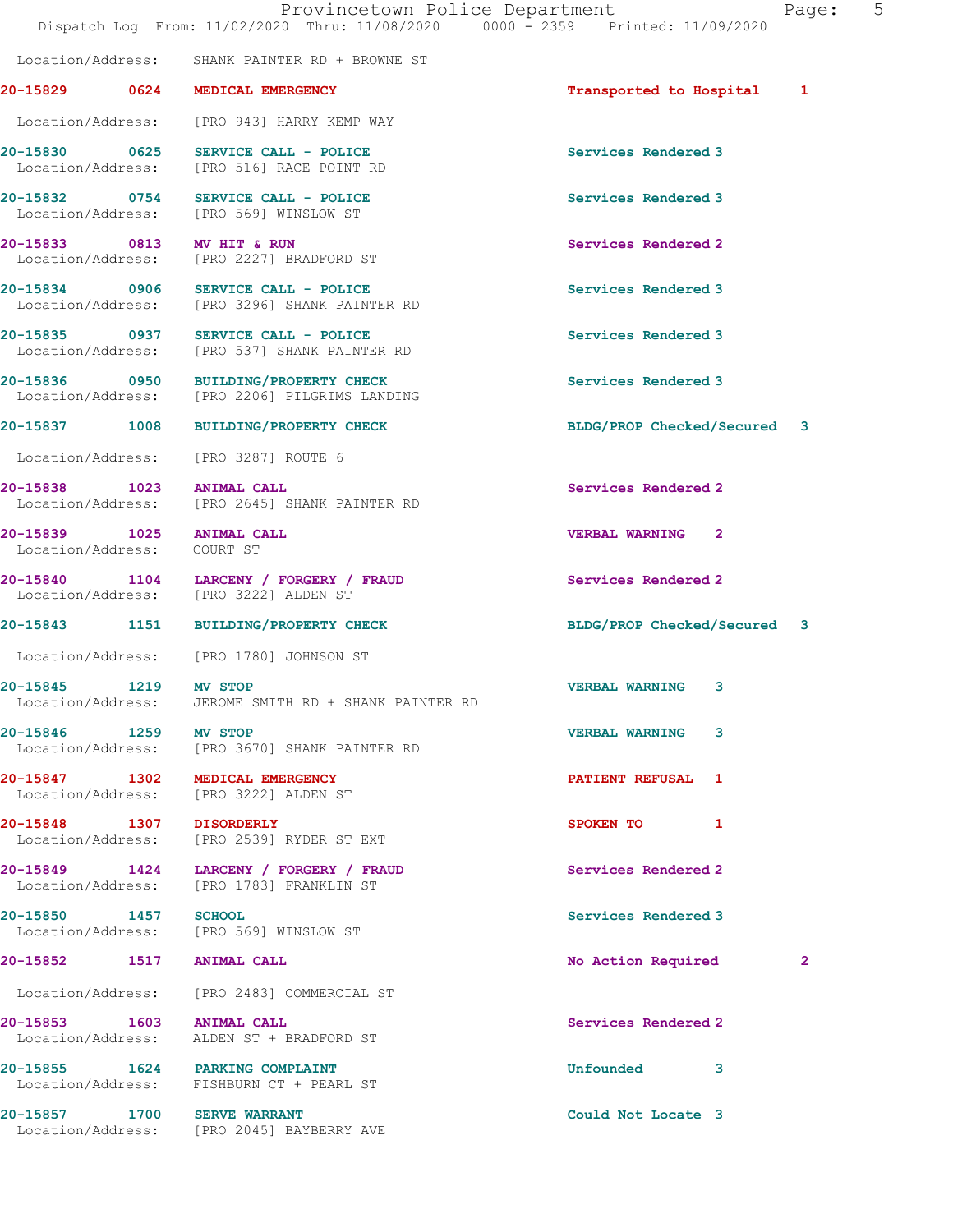Location/Address: SHANK PAINTER RD + BROWNE ST

# 20-15829 0624 MEDICAL EMERGENCY Transported to Hospital 1

Location/Address: [PRO 943] HARRY KEMP WAY

20-15830 0625 SERVICE CALL - POLICE Services Rendered 3 Location/Address: [PRO 516] RACE POINT RD

20-15832 0754 SERVICE CALL - POLICE Services Rendered 3 Location/Address: [PRO 569] WINSLOW ST

20-15833 0813 MV HIT & RUN Services Rendered 2 [PRO 2227] BRADFORD ST

20-15834 0906 SERVICE CALL - POLICE Services Rendered 3 Location/Address: [PRO 3296] SHANK PAINTER RD

20-15835 0937 SERVICE CALL - POLICE Services Rendered 3 Location/Address: [PRO 537] SHANK PAINTER RD

20-15836 0950 BUILDING/PROPERTY CHECK Services Rendered 3 Location/Address: [PRO 2206] PILGRIMS LANDING

Location/Address: [PRO 3287] ROUTE 6

Location/Address: [PRO 2645] SHANK PAINTER RD

Location/Address: COURT ST

20-15840 1104 LARCENY / FORGERY / FRAUD Services Rendered 2 Location/Address: [PRO 3222] ALDEN ST

Location/Address: [PRO 1780] JOHNSON ST

20-15845 1219 MV STOP VERBAL WARNING 3 Location/Address: JEROME SMITH RD + SHANK PAINTER RD

20-15846 1259 MV STOP VERBAL WARNING 3 Location/Address: [PRO 3670] SHANK PAINTER RD

Location/Address: [PRO 3222] ALDEN ST

20-15848 1307 DISORDERLY SPOKEN TO 1 Location/Address: [PRO 2539] RYDER ST EXT

20-15849 1424 LARCENY / FORGERY / FRAUD Services Rendered 2 Location/Address: [PRO 1783] FRANKLIN ST

20-15850 1457 SCHOOL Services Rendered 3 Location/Address: [PRO 569] WINSLOW ST

Location/Address: [PRO 2483] COMMERCIAL ST

20-15853 1603 ANIMAL CALL Services Rendered 2 Location/Address: ALDEN ST + BRADFORD ST

20-15855 1624 PARKING COMPLAINT 1997 1120 1120 Unfounded 3 Location/Address: FISHBURN CT + PEARL ST

20-15857 1700 SERVE WARRANT Could Not Locate 3 Location/Address: [PRO 2045] BAYBERRY AVE

20-15837 1008 BUILDING/PROPERTY CHECK BLDG/PROP Checked/Secured 3

20-15838 1023 ANIMAL CALL **Services Rendered** 2

20-15839 1025 ANIMAL CALL VERBAL WARNING 2

20-15843 1151 BUILDING/PROPERTY CHECK BLDG/PROP Checked/Secured 3

20-15847 1302 MEDICAL EMERGENCY **1200 1200 PATIENT REFUSAL** 1

20-15852 1517 ANIMAL CALL 2002 2003 No Action Required 2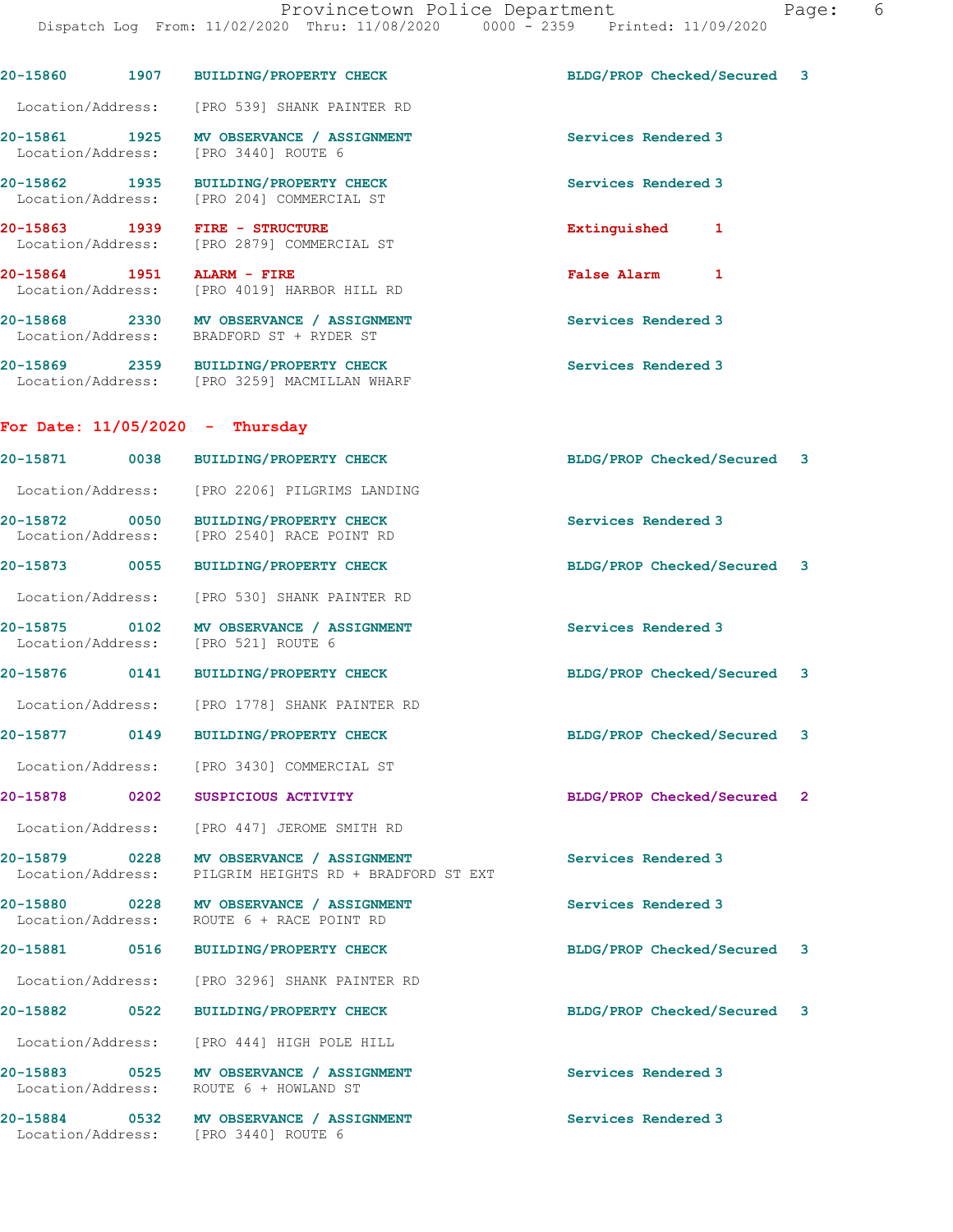| 20-15860 1907                      |                          | <b>BUILDING/PROPERTY CHECK</b>                                                                          | BLDG/PROP Checked/Secured   | 3            |
|------------------------------------|--------------------------|---------------------------------------------------------------------------------------------------------|-----------------------------|--------------|
|                                    |                          | Location/Address: [PRO 539] SHANK PAINTER RD                                                            |                             |              |
|                                    |                          | 20-15861 1925 MV OBSERVANCE / AS:<br>Location/Address: [PRO 3440] ROUTE 6<br>MV OBSERVANCE / ASSIGNMENT | Services Rendered 3         |              |
| 20-15862 1935                      |                          | BUILDING/PROPERTY CHECK<br>Location/Address: [PRO 204] COMMERCIAL ST                                    | Services Rendered 3         |              |
| 20-15863 1939                      |                          | FIRE - STRUCTURE<br>Location/Address: [PRO 2879] COMMERCIAL ST                                          | Extinguished<br>1           |              |
| 20-15864 1951                      |                          | ALARM - FIRE<br>Location/Address: [PRO 4019] HARBOR HILL RD                                             | <b>False Alarm</b><br>1     |              |
|                                    |                          | 20-15868 2330 MV OBSERVANCE / ASSIGNMENT<br>Location/Address: BRADFORD ST + RYDER ST                    | Services Rendered 3         |              |
|                                    |                          | 20-15869 2359 BUILDING/PROPERTY CHECK<br>Location/Address: [PRO 3259] MACMILLAN WHARF                   | Services Rendered 3         |              |
|                                    |                          | For Date: $11/05/2020 -$ Thursday                                                                       |                             |              |
| 20-15871 0038                      |                          | <b>BUILDING/PROPERTY CHECK</b>                                                                          | BLDG/PROP Checked/Secured 3 |              |
|                                    |                          | Location/Address: [PRO 2206] PILGRIMS LANDING                                                           |                             |              |
| 20-15872 0050                      |                          | <b>BUILDING/PROPERTY CHECK</b><br>Location/Address: [PRO 2540] RACE POINT RD                            | Services Rendered 3         |              |
| 20-15873 0055                      |                          | <b>BUILDING/PROPERTY CHECK</b>                                                                          | BLDG/PROP Checked/Secured 3 |              |
| Location/Address:                  |                          | [PRO 530] SHANK PAINTER RD                                                                              |                             |              |
| 20-15875 0102<br>Location/Address: |                          | MV OBSERVANCE / ASSIGNMENT<br>[PRO 521] ROUTE 6                                                         | Services Rendered 3         |              |
| 20-15876 0141                      |                          | BUILDING/PROPERTY CHECK                                                                                 | BLDG/PROP Checked/Secured 3 |              |
|                                    |                          | Location/Address: [PRO 1778] SHANK PAINTER RD                                                           |                             |              |
| 20-15877                           | 0149                     | <b>BUILDING/PROPERTY CHECK</b>                                                                          | BLDG/PROP Checked/Secured 3 |              |
| Location/Address:                  |                          | [PRO 3430] COMMERCIAL ST                                                                                |                             |              |
| 20-15878                           | 0202                     | SUSPICIOUS ACTIVITY                                                                                     | BLDG/PROP Checked/Secured   | $\mathbf{2}$ |
| Location/Address:                  |                          | [PRO 447] JEROME SMITH RD                                                                               |                             |              |
| 20-15879<br>Location/Address:      | $\sim$ 0228              | MV OBSERVANCE / ASSIGNMENT<br>PILGRIM HEIGHTS RD + BRADFORD ST EXT                                      | Services Rendered 3         |              |
| 20-15880<br>Location/Address:      |                          | 0228 MV OBSERVANCE / ASSIGNMENT<br>ROUTE 6 + RACE POINT RD                                              | Services Rendered 3         |              |
| 20-15881                           | 0516                     | BUILDING/PROPERTY CHECK                                                                                 | BLDG/PROP Checked/Secured   | 3            |
| Location/Address:                  |                          | [PRO 3296] SHANK PAINTER RD                                                                             |                             |              |
| 20-15882                           | 0522                     | <b>BUILDING/PROPERTY CHECK</b>                                                                          | BLDG/PROP Checked/Secured   | 3            |
| Location/Address:                  |                          | [PRO 444] HIGH POLE HILL                                                                                |                             |              |
| 20-15883<br>Location/Address:      | $\overline{\text{0525}}$ | MV OBSERVANCE / ASSIGNMENT<br>ROUTE 6 + HOWLAND ST                                                      | Services Rendered 3         |              |
| 20-15884                           | 0532                     | MV OBSERVANCE / ASSIGNMENT                                                                              | Services Rendered 3         |              |

Location/Address: [PRO 3440] ROUTE 6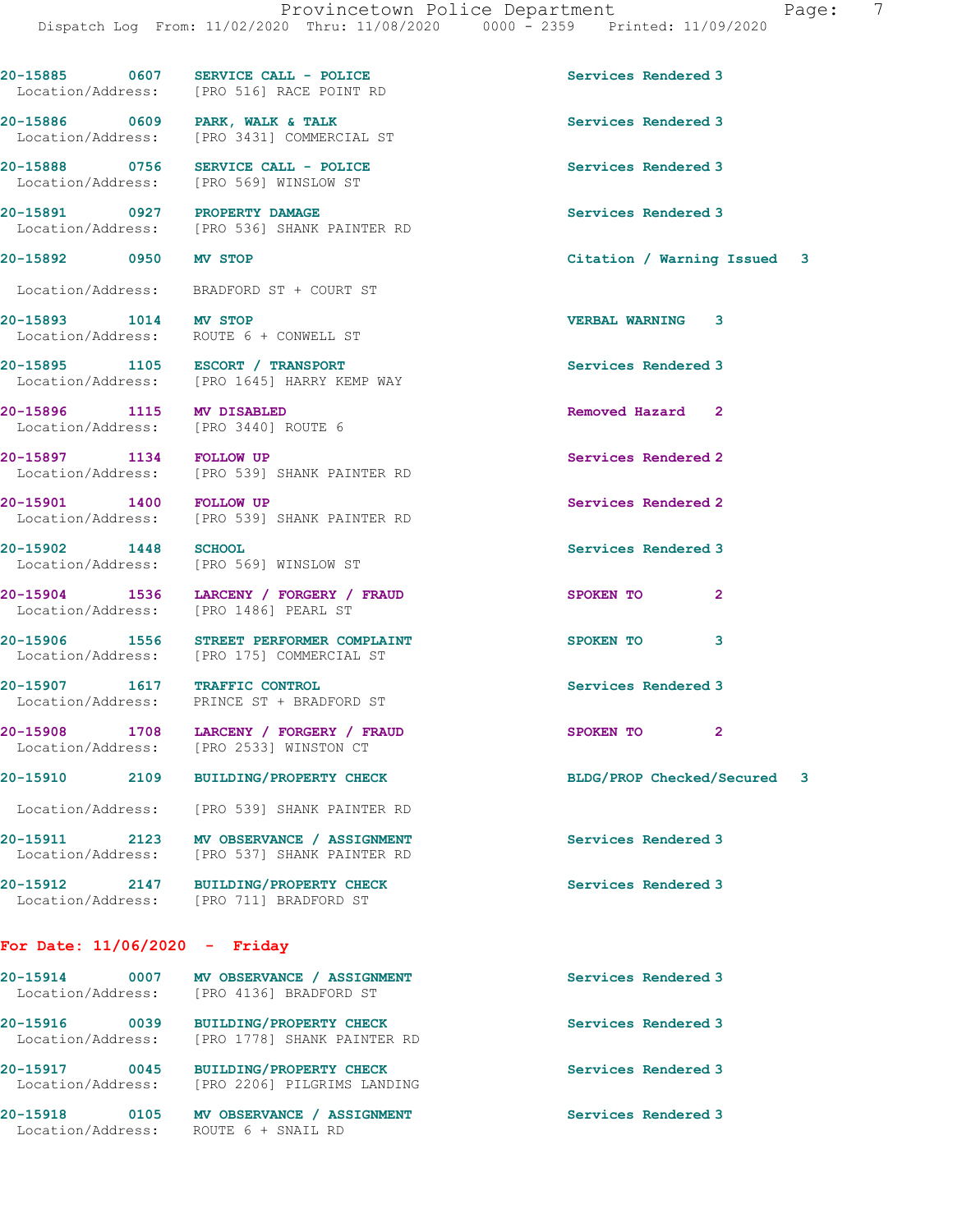| 20-15885          | 0607 | SERVICE CALL - POLICE   | Services Rendered 3 |
|-------------------|------|-------------------------|---------------------|
| Location/Address: |      | IPRO 5161 RACE POINT RD |                     |

Location/Address: [PRO 3431] COMMERCIAL ST

Location/Address: [PRO 569] WINSLOW ST

20-15893 1014 MV STOP VERBAL WARNING 3

20-15902 1448 SCHOOL Services Rendered 3

#### For Date: 11/06/2020 - Friday

Location/Address: ROUTE 6 + SNAIL RD

| 20-15914          | 0007 | MV OBSERVANCE / ASSIGNMENT         | Services Rendered 3 |
|-------------------|------|------------------------------------|---------------------|
| Location/Address: |      | [PRO 4136] BRADFORD ST             |                     |
| 20-15916          | 0039 | <b>BUILDING/PROPERTY CHECK</b>     | Services Rendered 3 |
| Location/Address: |      | [PRO 1778] SHANK PAINTER RD        |                     |
| 20-15917          | 0045 | <b>BUILDING/PROPERTY CHECK</b>     | Services Rendered 3 |
| Location/Address: |      | [PRO 2206] PILGRIMS LANDING        |                     |
| 20-15918          | 0105 | MV OBSERVANCE<br><b>ASSIGNMENT</b> | Services Rendered 3 |

ocation/Address: [PRO 516] RACE POINT RD 20-15886 0609 PARK, WALK & TALK Services Rendered 3

20-15888 0756 SERVICE CALL - POLICE Services Rendered 3

20-15891 0927 PROPERTY DAMAGE Services Rendered 3<br>
Location/Address: [PRO 536] SHANK PAINTER RD [PRO 536] SHANK PAINTER RD

Location/Address: BRADFORD ST + COURT ST

Location/Address: ROUTE 6 + CONWELL ST

20-15895 1105 ESCORT / TRANSPORT Services Rendered 3 Location/Address: [PRO 1645] HARRY KEMP WAY

20-15896 1115 MV DISABLED Removed Hazard 2 Location/Address: [PRO 3440] ROUTE 6

20-15897 1134 FOLLOW UP Services Rendered 2 Location/Address: [PRO 539] SHANK PAINTER RD

20-15901 1400 FOLLOW UP Services Rendered 2 Location/Address: [PRO 539] SHANK PAINTER RD

Location/Address: [PRO 569] WINSLOW ST

20-15904 1536 LARCENY / FORGERY / FRAUD SPOKEN TO 2 Location/Address: [PRO 1486] PEARL ST

20-15906 1556 STREET PERFORMER COMPLAINT SPOKEN TO 3 Location/Address: [PRO 175] COMMERCIAL ST

20-15907 1617 TRAFFIC CONTROL Services Rendered 3 Location/Address: PRINCE ST + BRADFORD ST

20-15908 1708 LARCENY / FORGERY / FRAUD SPOKEN TO 2 Location/Address: [PRO 2533] WINSTON CT

Location/Address: [PRO 539] SHANK PAINTER RD

20-15911 2123 MV OBSERVANCE / ASSIGNMENT Services Rendered 3<br>
Location/Address: [PRO 537] SHANK PAINTER RD [PRO 537] SHANK PAINTER RD

20-15912 2147 BUILDING/PROPERTY CHECK Services Rendered 3 Location/Address: [PRO 711] BRADFORD ST

20-15892 0950 MV STOP Citation / Warning Issued 3

20-15910 2109 BUILDING/PROPERTY CHECK BLDG/PROP Checked/Secured 3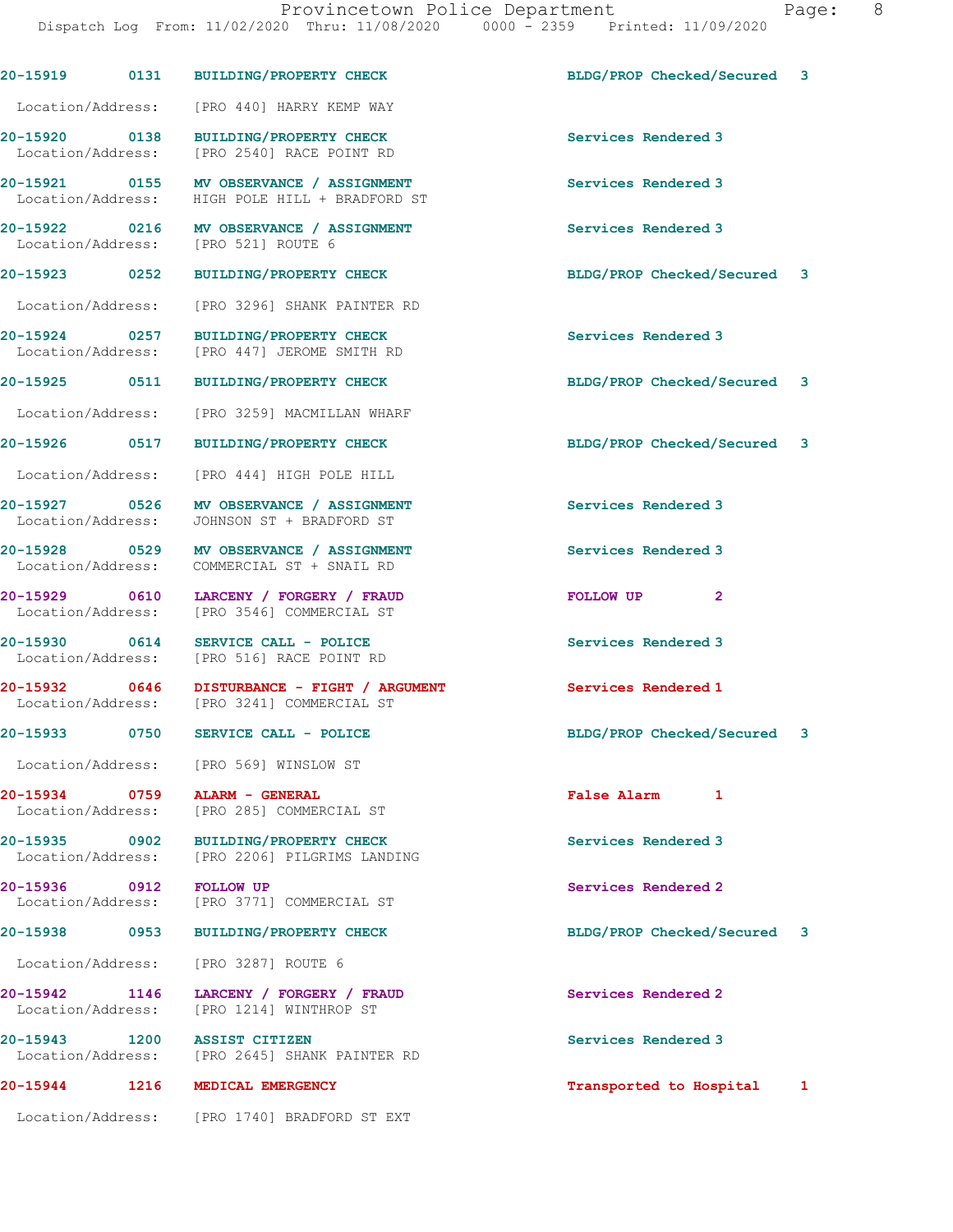|                                    |      | 20-15919 0131 BUILDING/PROPERTY CHECK                                                      | BLDG/PROP Checked/Secured 3 |   |
|------------------------------------|------|--------------------------------------------------------------------------------------------|-----------------------------|---|
|                                    |      | Location/Address: [PRO 440] HARRY KEMP WAY                                                 |                             |   |
|                                    |      | 20-15920 0138 BUILDING/PROPERTY CHECK<br>Location/Address: [PRO 2540] RACE POINT RD        | Services Rendered 3         |   |
|                                    |      | 20-15921 0155 MV OBSERVANCE / ASSIGNMENT<br>Location/Address: HIGH POLE HILL + BRADFORD ST | Services Rendered 3         |   |
|                                    |      | 20-15922 0216 MV OBSERVANCE / ASSIGNMENT<br>Location/Address: [PRO 521] ROUTE 6            | Services Rendered 3         |   |
| 20-15923 0252                      |      | BUILDING/PROPERTY CHECK                                                                    | BLDG/PROP Checked/Secured 3 |   |
|                                    |      | Location/Address: [PRO 3296] SHANK PAINTER RD                                              |                             |   |
| Location/Address:                  |      | 20-15924 0257 BUILDING/PROPERTY CHECK<br>[PRO 447] JEROME SMITH RD                         | Services Rendered 3         |   |
|                                    |      | 20-15925 0511 BUILDING/PROPERTY CHECK                                                      | BLDG/PROP Checked/Secured 3 |   |
|                                    |      | Location/Address: [PRO 3259] MACMILLAN WHARF                                               |                             |   |
| 20-15926 0517                      |      | <b>BUILDING/PROPERTY CHECK</b>                                                             | BLDG/PROP Checked/Secured 3 |   |
|                                    |      | Location/Address: [PRO 444] HIGH POLE HILL                                                 |                             |   |
|                                    |      | 20-15927 0526 MV OBSERVANCE / ASSIGNMENT<br>Location/Address: JOHNSON ST + BRADFORD ST     | Services Rendered 3         |   |
|                                    |      | 20-15928 0529 MV OBSERVANCE / ASSIGNMENT<br>Location/Address: COMMERCIAL ST + SNAIL RD     | Services Rendered 3         |   |
| Location/Address:                  |      | 20-15929 0610 LARCENY / FORGERY / FRAUD<br>[PRO 3546] COMMERCIAL ST                        | FOLLOW UP<br>$\mathbf{2}$   |   |
|                                    |      | 20-15930 0614 SERVICE CALL - POLICE<br>Location/Address: [PRO 516] RACE POINT RD           | Services Rendered 3         |   |
|                                    |      | 20-15932 0646 DISTURBANCE - FIGHT / ARGUMENT<br>Location/Address: [PRO 3241] COMMERCIAL ST | <b>Services Rendered 1</b>  |   |
| 20-15933                           | 0750 | SERVICE CALL - POLICE                                                                      | BLDG/PROP Checked/Secured   | 3 |
|                                    |      | Location/Address: [PRO 569] WINSLOW ST                                                     |                             |   |
| 20-15934 0759                      |      | <b>ALARM - GENERAL</b><br>Location/Address: [PRO 285] COMMERCIAL ST                        | <b>False Alarm</b><br>1     |   |
|                                    |      | 20-15935 0902 BUILDING/PROPERTY CHECK<br>Location/Address: [PRO 2206] PILGRIMS LANDING     | Services Rendered 3         |   |
| 20-15936 0912                      |      | <b>FOLLOW UP</b><br>Location/Address: [PRO 3771] COMMERCIAL ST                             | Services Rendered 2         |   |
|                                    |      | 20-15938 0953 BUILDING/PROPERTY CHECK                                                      | BLDG/PROP Checked/Secured 3 |   |
|                                    |      | Location/Address: [PRO 3287] ROUTE 6                                                       |                             |   |
| 20-15942 1146<br>Location/Address: |      | LARCENY / FORGERY / FRAUD<br>[PRO 1214] WINTHROP ST                                        | Services Rendered 2         |   |
| 20-15943 1200                      |      | <b>ASSIST CITIZEN</b><br>Location/Address: [PRO 2645] SHANK PAINTER RD                     | Services Rendered 3         |   |
| 20-15944                           |      | 1216 MEDICAL EMERGENCY                                                                     | Transported to Hospital     | 1 |
|                                    |      | Location/Address: [PRO 1740] BRADFORD ST EXT                                               |                             |   |
|                                    |      |                                                                                            |                             |   |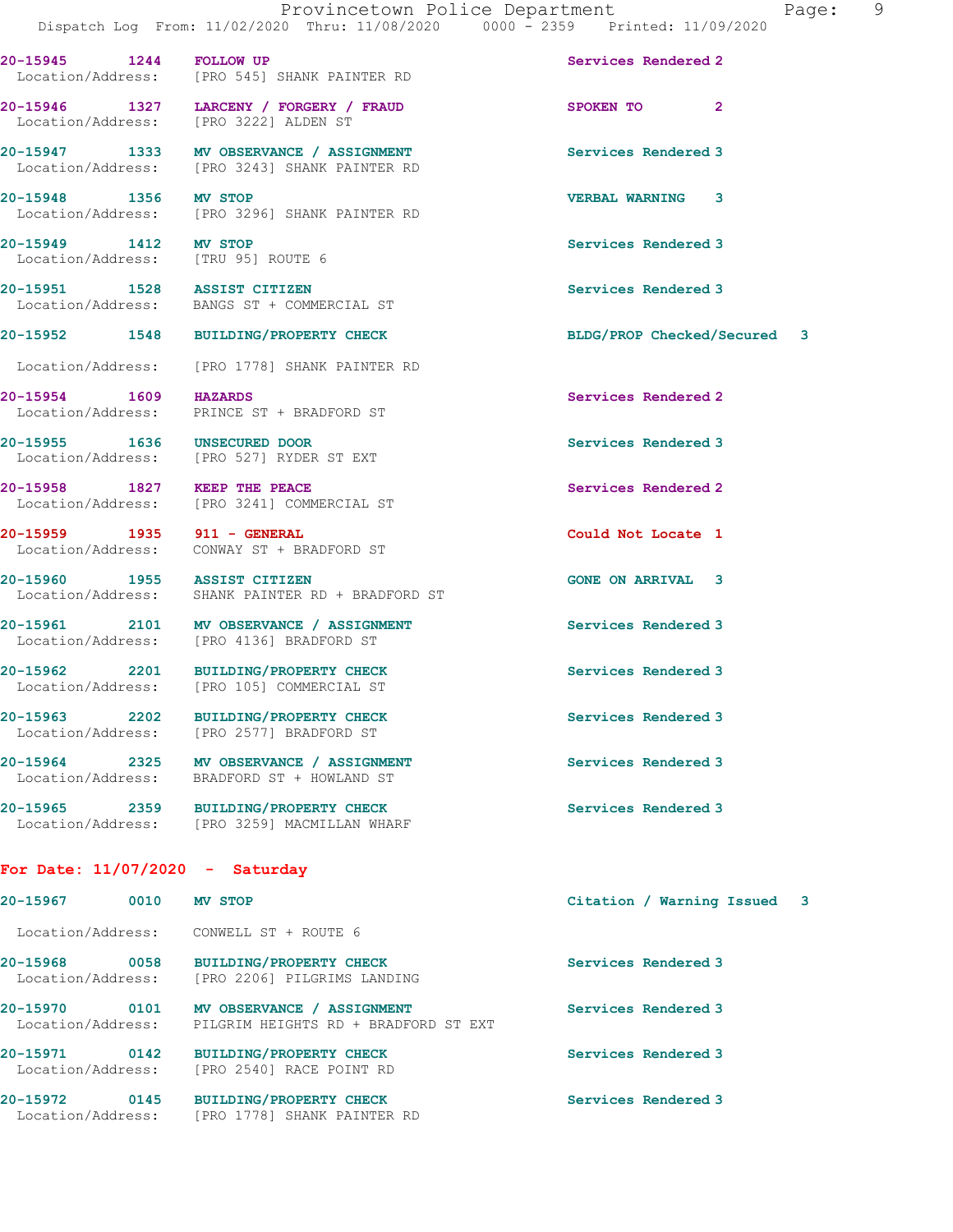20-15945 1244 FOLLOW UP Services Rendered 2 Location/Address: [PRO 545] SHANK PAINTER RD

20-15949 1412 MV STOP Services Rendered 3

### For Date: 11/07/2020 - Saturday

| 20-15967                      | 0010 | <b>MV STOP</b>                                                     | Citation / Warning Issued 3 |  |
|-------------------------------|------|--------------------------------------------------------------------|-----------------------------|--|
| Location/Address:             |      | CONWELL ST + ROUTE 6                                               |                             |  |
| 20-15968<br>Location/Address: | 0058 | <b>BUILDING/PROPERTY CHECK</b><br>[PRO 2206] PILGRIMS LANDING      | Services Rendered 3         |  |
| 20-15970<br>Location/Address: | 0101 | MV OBSERVANCE / ASSIGNMENT<br>PILGRIM HEIGHTS RD + BRADFORD ST EXT | Services Rendered 3         |  |
| 20-15971<br>Location/Address: | 0142 | <b>BUILDING/PROPERTY CHECK</b><br>[PRO 2540] RACE POINT RD         | Services Rendered 3         |  |
| 20-15972<br>Location/Address: | 0145 | <b>BUILDING/PROPERTY CHECK</b><br>FPRO 17781 SHANK PAINTER RD      | Services Rendered 3         |  |

20-15946 1327 LARCENY / FORGERY / FRAUD SPOKEN TO 2 Location/Address: [PRO 3222] ALDEN ST

20-15947 1333 MV OBSERVANCE / ASSIGNMENT Services Rendered 3 Location/Address: [PRO 3243] SHANK PAINTER RD

20-15948 1356 MV STOP<br>
Location/Address: [PRO 3296] SHANK PAINTER RD<br>
VERBAL WARNING 3 [PRO 3296] SHANK PAINTER RD

Location/Address: [TRU 95] ROUTE 6

20-15951 1528 ASSIST CITIZEN Services Rendered 3 Location/Address: BANGS ST + COMMERCIAL ST

Location/Address: [PRO 1778] SHANK PAINTER RD

20-15954 1609 HAZARDS Services Rendered 2 Location/Address: PRINCE ST + BRADFORD ST

20-15955 1636 UNSECURED DOOR Services Rendered 3 Location/Address: [PRO 527] RYDER ST EXT

20-15958 1827 KEEP THE PEACE Services Rendered 2 Location/Address: [PRO 3241] COMMERCIAL ST

20-15959 1935 911 - GENERAL Could Not Locate 1 Location/Address: CONWAY ST + BRADFORD ST

20-15960 1955 ASSIST CITIZEN GONE ON ARRIVAL 3 Location/Address: SHANK PAINTER RD + BRADFORD ST

20-15961 2101 MV OBSERVANCE / ASSIGNMENT Services Rendered 3 Location/Address: [PRO 4136] BRADFORD ST

20-15962 2201 BUILDING/PROPERTY CHECK Services Rendered 3 Location/Address: [PRO 105] COMMERCIAL ST

20-15963 2202 BUILDING/PROPERTY CHECK Services Rendered 3 Location/Address: [PRO 2577] BRADFORD ST

20-15964 2325 MV OBSERVANCE / ASSIGNMENT Services Rendered 3 Location/Address: BRADFORD ST + HOWLAND ST

20-15965 2359 BUILDING/PROPERTY CHECK Services Rendered 3 Location/Address: [PRO 3259] MACMILLAN WHARF

20-15952 1548 BUILDING/PROPERTY CHECK BLDG/PROP Checked/Secured 3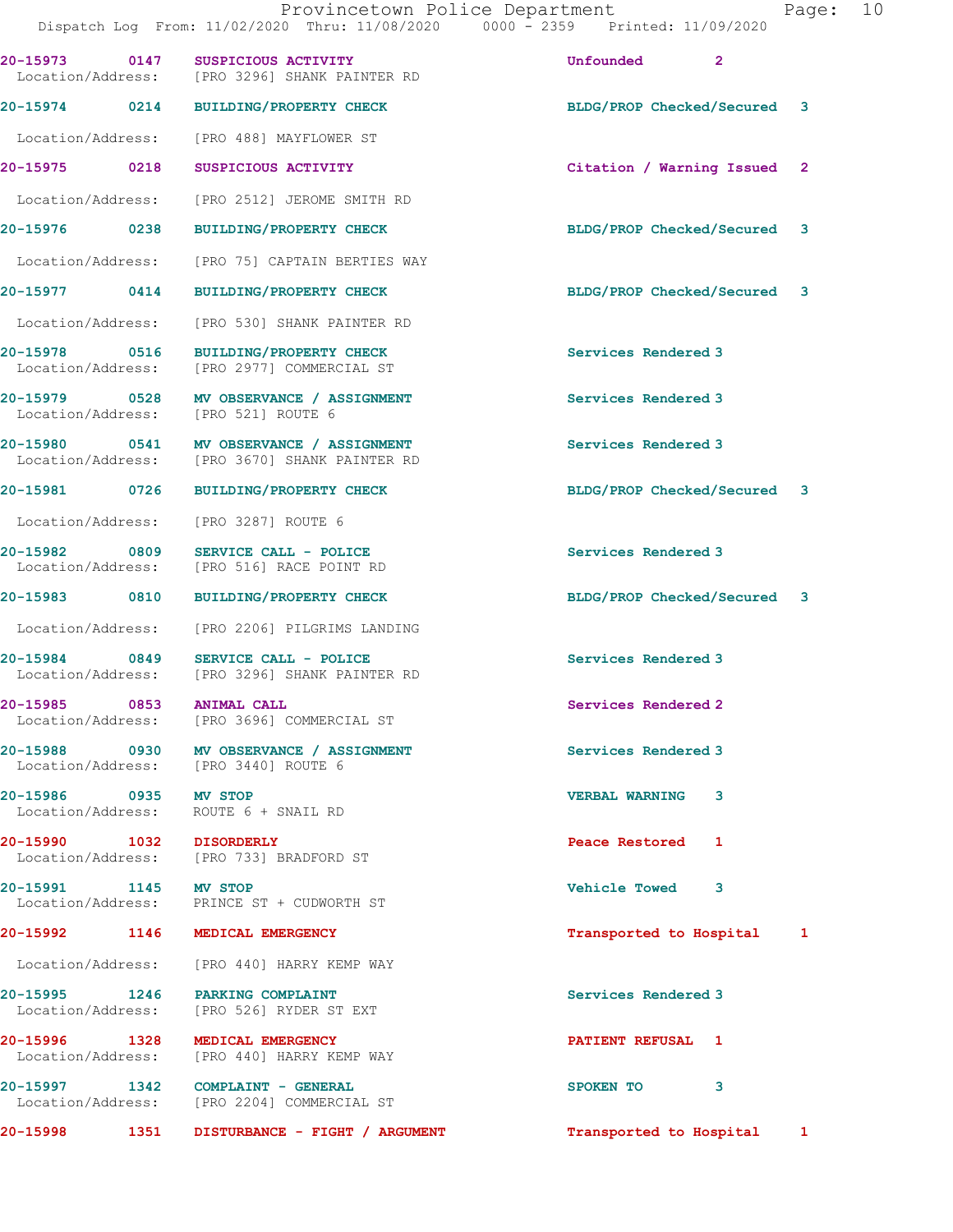Dispatch Log From: 11/02/2020 Thru: 11/08/2020 0000 - 2359 Printed: 11/09/2020 20-15973 0147 SUSPICIOUS ACTIVITY Unfounded 2 [PRO 3296] SHANK PAINTER RD 20-15974 0214 BUILDING/PROPERTY CHECK BLDG/PROP Checked/Secured 3 Location/Address: [PRO 488] MAYFLOWER ST 20-15975 0218 SUSPICIOUS ACTIVITY Citation / Warning Issued 2 Location/Address: [PRO 2512] JEROME SMITH RD 20-15976 0238 BUILDING/PROPERTY CHECK BLDG/PROP Checked/Secured 3 Location/Address: [PRO 75] CAPTAIN BERTIES WAY 20-15977 0414 BUILDING/PROPERTY CHECK BLDG/PROP Checked/Secured 3 Location/Address: [PRO 530] SHANK PAINTER RD 20-15978 0516 BUILDING/PROPERTY CHECK Services Rendered 3 Location/Address: [PRO 2977] COMMERCIAL ST 20-15979 0528 MV OBSERVANCE / ASSIGNMENT Services Rendered 3 Location/Address: [PRO 521] ROUTE 6 20-15980 0541 MV OBSERVANCE / ASSIGNMENT Services Rendered 3<br>
Location/Address: [PRO 3670] SHANK PAINTER RD [PRO 3670] SHANK PAINTER RD 20-15981 0726 BUILDING/PROPERTY CHECK BLDG/PROP Checked/Secured 3 Location/Address: [PRO 3287] ROUTE 6 20-15982 0809 SERVICE CALL - POLICE Services Rendered 3 Location/Address: [PRO 516] RACE POINT RD 20-15983 0810 BUILDING/PROPERTY CHECK BLDG/PROP Checked/Secured 3 Location/Address: [PRO 2206] PILGRIMS LANDING 20-15984 0849 SERVICE CALL - POLICE Services Rendered 3 Location/Address: [PRO 3296] SHANK PAINTER RD 20-15985 0853 ANIMAL CALL Services Rendered 2 [PRO 3696] COMMERCIAL ST 20-15988 0930 MV OBSERVANCE / ASSIGNMENT Services Rendered 3 Location/Address: [PRO 3440] ROUTE 6 20-15986 0935 MV STOP VERBAL WARNING 3 Location/Address: ROUTE 6 + SNAIL RD 20-15990 1032 DISORDERLY Peace Restored 1 Location/Address: [PRO 733] BRADFORD ST 20-15991 1145 MV STOP Vehicle Towed 3 Location/Address: PRINCE ST + CUDWORTH ST 20-15992 1146 MEDICAL EMERGENCY Transported to Hospital 1 Location/Address: [PRO 440] HARRY KEMP WAY 20-15995 1246 PARKING COMPLAINT Services Rendered 3 Location/Address: [PRO 526] RYDER ST EXT 20-15996 1328 MEDICAL EMERGENCY PATIENT REFUSAL 1 [PRO 440] HARRY KEMP WAY 20-15997 1342 COMPLAINT - GENERAL SPOKEN TO 3 Location/Address: [PRO 2204] COMMERCIAL ST 20-15998 1351 DISTURBANCE - FIGHT / ARGUMENT Transported to Hospital 1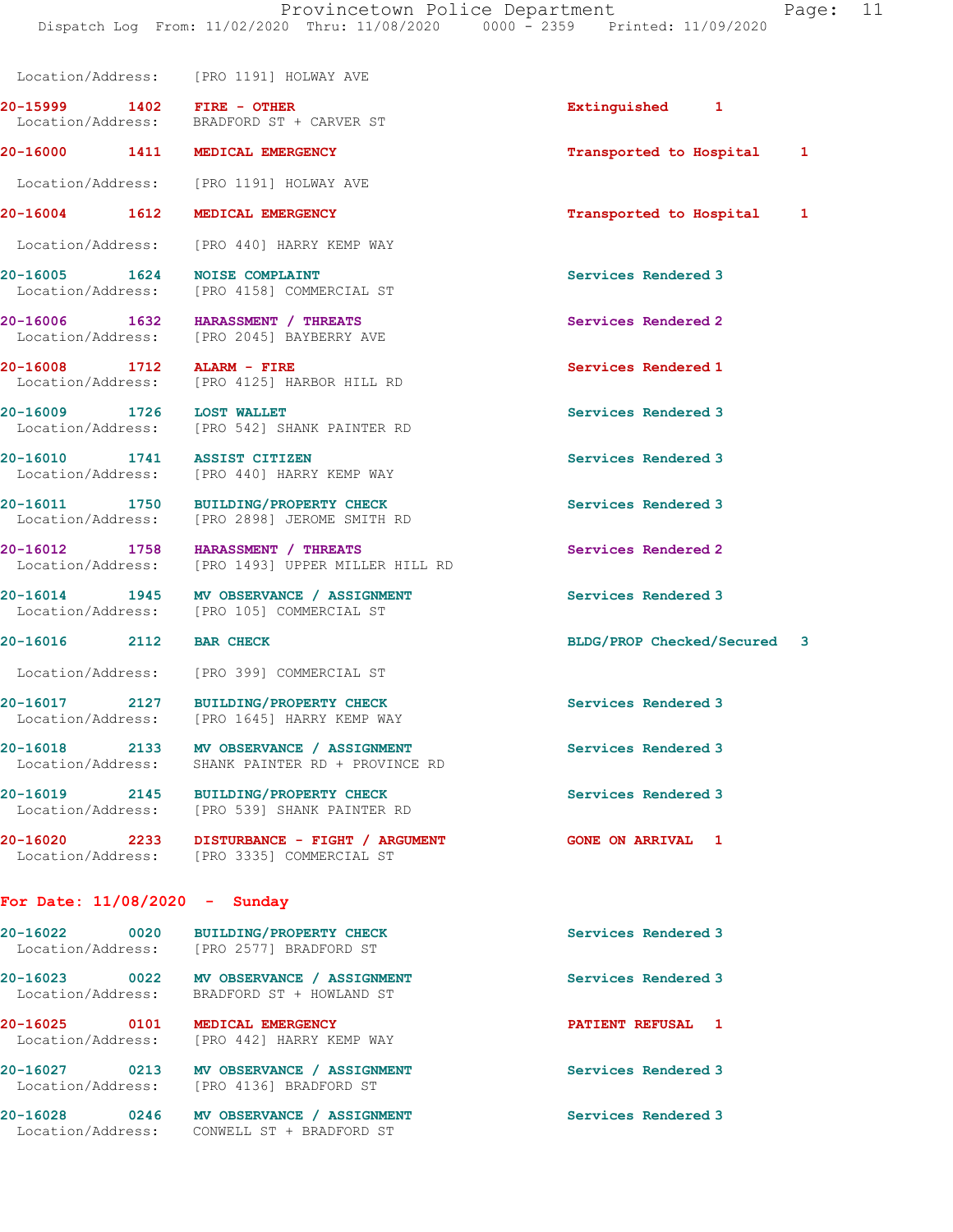20-15999 1402 FIRE - OTHER Extinguished 1 Location/Address: BRADFORD ST + CARVER ST 20-16000 1411 MEDICAL EMERGENCY **1200** 1411 20-16000 1411 1 Location/Address: [PRO 1191] HOLWAY AVE 20-16004 1612 MEDICAL EMERGENCY Transported to Hospital 1 Location/Address: [PRO 440] HARRY KEMP WAY 20-16005 1624 NOISE COMPLAINT Services Rendered 3 Location/Address: [PRO 4158] COMMERCIAL ST 20-16006 1632 HARASSMENT / THREATS Services Rendered 2 Location/Address: [PRO 2045] BAYBERRY AVE 20-16008 1712 ALARM - FIRE Services Rendered 1 Location/Address: [PRO 4125] HARBOR HILL RD 20-16009 1726 LOST WALLET Services Rendered 3 Location/Address: [PRO 542] SHANK PAINTER RD 20-16010 1741 ASSIST CITIZEN Services Rendered 3 Location/Address: [PRO 440] HARRY KEMP WAY 20-16011 1750 BUILDING/PROPERTY CHECK Services Rendered 3 Location/Address: [PRO 2898] JEROME SMITH RD 20-16012 1758 HARASSMENT / THREATS Services Rendered 2 Location/Address: [PRO 1493] UPPER MILLER HILL RD 20-16014 1945 MV OBSERVANCE / ASSIGNMENT Services Rendered 3 Location/Address: [PRO 105] COMMERCIAL ST 20-16016 2112 BAR CHECK BLDG/PROP Checked/Secured 3 Location/Address: [PRO 399] COMMERCIAL ST 20-16017 2127 BUILDING/PROPERTY CHECK Services Rendered 3 Location/Address: [PRO 1645] HARRY KEMP WAY 20-16018 2133 MV OBSERVANCE / ASSIGNMENT Services Rendered 3 Location/Address: SHANK PAINTER RD + PROVINCE RD 20-16019 2145 BUILDING/PROPERTY CHECK Services Rendered 3<br>
Location/Address: [PRO 539] SHANK PAINTER RD [PRO 539] SHANK PAINTER RD 20-16020 2233 DISTURBANCE - FIGHT / ARGUMENT GONE ON ARRIVAL 1 Location/Address: [PRO 3335] COMMERCIAL ST For Date: 11/08/2020 - Sunday 20-16022 0020 BUILDING/PROPERTY CHECK Services Rendered 3

 Location/Address: [PRO 2577] BRADFORD ST 20-16023 0022 MV OBSERVANCE / ASSIGNMENT Services Rendered 3 Location/Address: BRADFORD ST + HOWLAND ST 20-16025 0101 MEDICAL EMERGENCY PATIENT REFUSAL 1 Location/Address: [PRO 442] HARRY KEMP WAY 20-16027 0213 MV OBSERVANCE / ASSIGNMENT Services Rendered 3 Location/Address: [PRO 4136] BRADFORD ST 20-16028 0246 MV OBSERVANCE / ASSIGNMENT Services Rendered 3

Location/Address: [PRO 1191] HOLWAY AVE

Location/Address: CONWELL ST + BRADFORD ST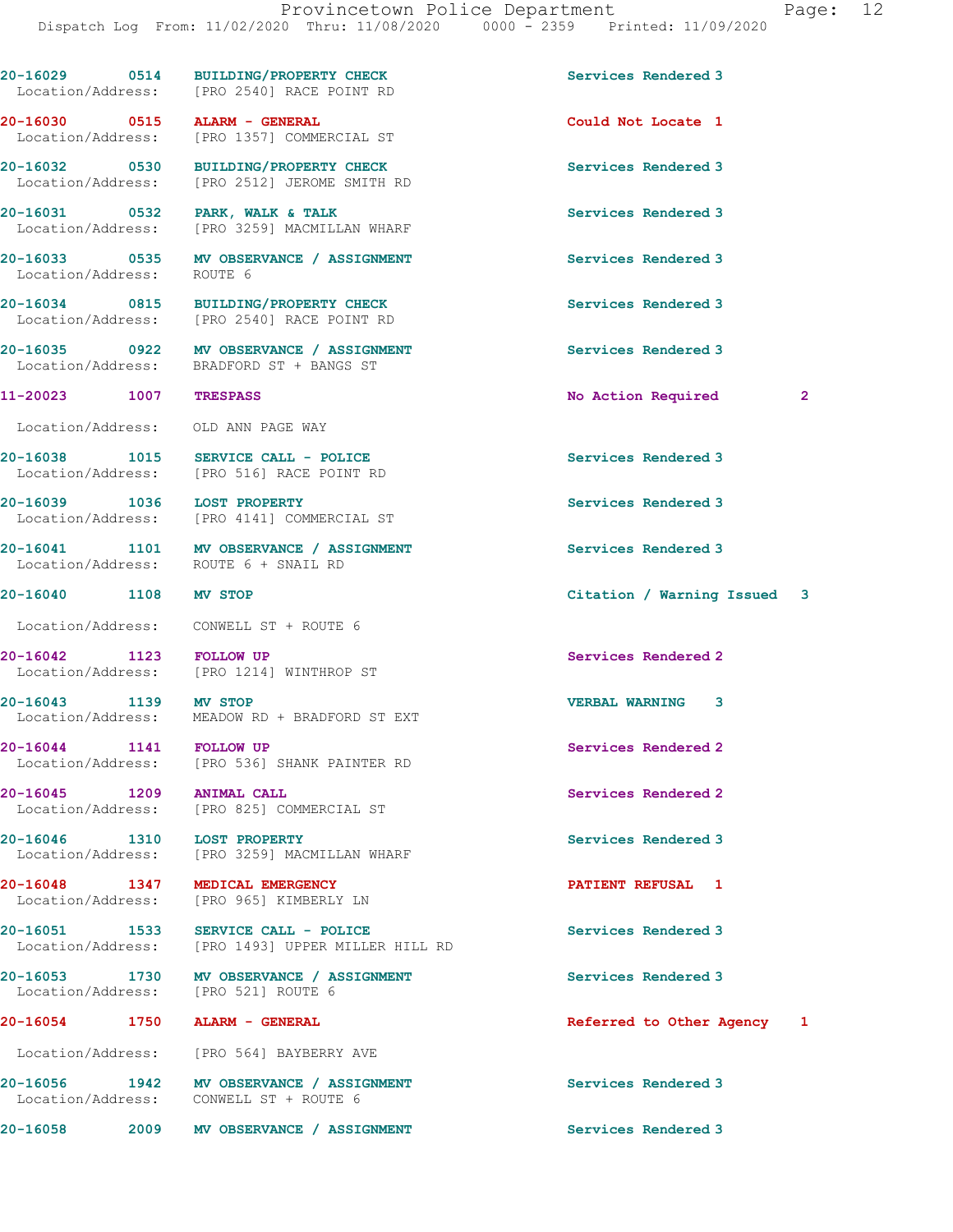20-16029 0514 BUILDING/PROPERTY CHECK Services Rendered 3 Location/Address: [PRO 2540] RACE POINT RD 20-16030 0515 ALARM - GENERAL Could Not Locate 1 [PRO 1357] COMMERCIAL ST 20-16032 0530 BUILDING/PROPERTY CHECK Services Rendered 3 Location/Address: [PRO 2512] JEROME SMITH RD 20-16031 0532 PARK, WALK & TALK Services Rendered 3 Location/Address: [PRO 3259] MACMILLAN WHARF 20-16033 0535 MV OBSERVANCE / ASSIGNMENT Services Rendered 3 Location/Address: ROUTE 6 20-16034 0815 BUILDING/PROPERTY CHECK Services Rendered 3 Location/Address: [PRO 2540] RACE POINT RD 20-16035 0922 MV OBSERVANCE / ASSIGNMENT Services Rendered 3 Location/Address: BRADFORD ST + BANGS ST 11-20023 1007 TRESPASS No Action Required 2 Location/Address: OLD ANN PAGE WAY 20-16038 1015 SERVICE CALL - POLICE Services Rendered 3 Location/Address: [PRO 516] RACE POINT RD 20-16039 1036 LOST PROPERTY **1000 CONTROL** Services Rendered 3 Location/Address: [PRO 4141] COMMERCIAL ST 20-16041 1101 MV OBSERVANCE / ASSIGNMENT Services Rendered 3<br>
Location/Address: ROUTE 6 + SNAIL RD Location/Address: 20-16040 1108 MV STOP Citation / Warning Issued 3 Location/Address: CONWELL ST + ROUTE 6 20-16042 1123 FOLLOW UP Services Rendered 2<br>
Location/Address: [PRO 1214] WINTHROP ST [PRO 1214] WINTHROP ST 20-16043 1139 MV STOP VERBAL WARNING 3 Location/Address: MEADOW RD + BRADFORD ST EXT 20-16044 1141 FOLLOW UP Services Rendered 2 Location/Address: [PRO 536] SHANK PAINTER RD 20-16045 1209 ANIMAL CALL Services Rendered 2 Location/Address: [PRO 825] COMMERCIAL ST 20-16046 1310 LOST PROPERTY Services Rendered 3 Location/Address: [PRO 3259] MACMILLAN WHARF 20-16048 1347 MEDICAL EMERGENCY **120-16048** PATIENT REFUSAL 1 Location/Address: [PRO 965] KIMBERLY LN 20-16051 1533 SERVICE CALL - POLICE 20 Services Rendered 3 Location/Address: [PRO 1493] UPPER MILLER HILL RD 20-16053 1730 MV OBSERVANCE / ASSIGNMENT Services Rendered 3 Location/Address: [PRO 521] ROUTE 6 20-16054 1750 ALARM - GENERAL Referred to Other Agency 1 Location/Address: [PRO 564] BAYBERRY AVE 20-16056 1942 MV OBSERVANCE / ASSIGNMENT Services Rendered 3 Location/Address: CONWELL ST + ROUTE 6 20-16058 2009 MV OBSERVANCE / ASSIGNMENT Services Rendered 3